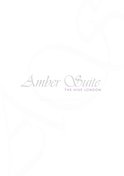Amber Suite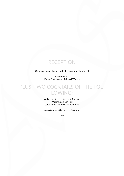# RECEPTION

Upon arrival, our butlers will offer your guests trays of

Chilled Prosecco Fresh Fruit Juices – Mineral Waters

# PLUS, TWO COCKTAILS OF THE FOL-LOWING:

Vodka Lychini, Passion Fruit Mojito's Watermelon Gin Fizz Caipirinha & Salted Caramel Vodka

*Non Alcoholic Bar for the Children*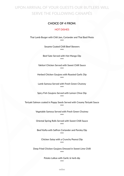## UPON ARRIVAL OF YOUR GUESTS OUR BUTLERS WILL SERVE THE FOLLOWING CANAPÉS

### **CHOICE OF 4 FROM:**

#### HOT DISHES

Thai Lamb Burger with Chili Jam, Coriander and Thai Basil Pesto \*\*\*

> Sesame Coated Chilli Beef Skewers \*\*\*

Beef Sate Served with Hot Mango Dip \*\*\*

Yakitori Chicken Served with Sweet Chilli Sauce \*\*\*

Herbed Chicken Goujons with Roasted Garlic Dip \*\*\*

Lamb Samosa Served with Fresh Green Chutney \*\*\*

Spicy Fish Goujons Served with Lemon Chive Dip \*\*\*

Teriyaki Salmon coated in Poppy Seeds Served with Creamy Teriyaki Sauce \*\*\*

> Vegetable Samosa Served with Fresh Green Chutney \*\*\*

> Oriental Spring Rolls Served with Sweet Chilli Sauce \*\*\*

Beef Kofta with Saffron Coriander and Parsley Dip \*\*\*

Chicken Satay with a Crunchy Peanut Dip \*\*\*

Deep Fried Chicken Goujons Dressed in Sweet Lime Chilli \*\*\*

> Potato Latkas with Garlic & herb dip \*\*\*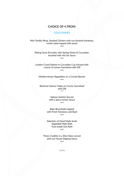#### **CHOICE OF 4 FROM:**

#### COLD DISHES

Mini Tortilla Wrap, Smoked Chicken with sun blushed tomatoes, rocket salad topped with pesto \*\*\*

Peking Duck Pancakes with Spring Onion & Cucumber,

brushed with Hoi Sin Sauce \*\*\*

London Cured Salmon in Cucumber Cup infused with a burst of Lemon Garnished with Dill \*\*\*

Mediterranean Vegetables on a Crystal Skewer \*\*\*

Beetroot Salmon Tulips on Croute Garnished with Dill \*\*\*

> Salmon Sashimi Served with a Spicy Lemon Sauce \*\*\*

Baby Bruschetta topped with Fresh Tomatoes and Basil \*\*\*

Selection of Hand Made Sushi Vegetable Maki Rolls Tuna Inside Out Rolls \*\*\*

Three Crudités in a Shot Glass served with our House Dipping Sauce \*\*\*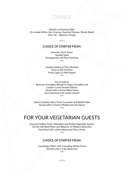## DINNER

Baskets of Assorted Rolls (To include White, Rye, Granary, Sundried Tomato, Olive& Black) Olive Oil – Balsamic Vinegar

oo0oo

#### **CHOICE OF STARTER FROM:**

Aromatic Duck Tower Noodle Salad Pomegranate and Plum Dressing \*\*\*

Smoked Salmon & Trout Roulade Chive & Dill Emulsion Fried Capers & Pink Pepper \*\*\*

Trio of Salmon Beetroot Gravadlax, Wasabi & Ginger Gravadlax and London Cured Smoked Salmon Served with a Lemon Balm Sauce And Garnished with Lambs Lettuce \*\*\*

Salmon Sashimi with a Fresh Cucumber and Radish Salsa Served with a Creamy Wasabi and Lime Sauce \*\*\*

## FOR YOUR VEGETARIAN GUESTS

Seasonal Grilled, Fresh, Marinated and Pickled Vegetable Garden Served with Basil Pesto and Balsamic of Modena Reduction Garnished with Lambs lettuce and Micro Herbs

\*\*\*

#### **CHOICE OF STARTER FROM:**

Cantaloupe Melon with Cascading Winter Fruits Drizzled with a Casis Reduction

\*\*\*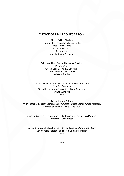#### **CHOICE OF MAIN COURSE FROM:**

Flame Grilled Chicken Chunky Chips served in a Metal Basket Tied Haricot Verts Chantanay Carrot Red wine Jus Garnished with Pea shoots \*\*\*

Dijon and Herb Crusted Breast of Chicken Pomme Anna Grilled Green & Yellow Courgette Tomato & Onion Chutney White Wine Jus \*\*\*

Chicken Breast Stuffed with Spinach and Roasted Garlic Sautéed Potatoes Grilled baby Green Courgette & Baby Aubergine White Wine Jus \*\*\*

Sicilian Lemon Chicken With Preserved Sicilian Lemons, Baby Crusted Infused Lemon Grass Potatoes, A Preserved Lemon & Wild Cepe Sauce \*\*\*

Japanese Chicken with a Soy and Sake Marinade, Lemongrass Potatoes, Samphire & Green Beans \*\*\*

Soy and Honey Chicken Served with Pan Fried Bok Choy, Baby Corn Dauphinoise Potatoes and a Red Onion Marmalade \*\*\*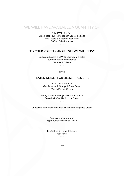### WE WILL HAVE AVAILABLE A QUANTITY OF

Baked Wild Sea Bass Green Beans & Mediterranean Vegetable Salsa Basil Pesto & Balsamic Reduction Saffron Baby Potatoes

\*\*\*

#### **FOR YOUR VEGETARIAN GUESTS WE WILL SERVE**

Butternut Squash and Wild Mushroom Risotto Summer Roasted Vegetables Truffle Oil Drizzle \*\*\*

oo0oo

#### **PLATED DESSERT OR DESSERT ASSIETTE**

Rich Chocolate Torte Garnished with Orange Infused Sugar Vanilla Pod Ice Cream

\*\*\*<br>Sticky Toffee Pudding with Caramel sauce Served with Vanilla Pod Ice Cream

\*\*\*

Chocolate Fondant served with a Candied Orange Ice Cream \*\*\*

> Apple & Cinnamon Tatin Apple Tuille& Vanilla Ice Cream \*\*\*

> Tea, Coffee & Herbal Infusions Petit Fours \*\*\*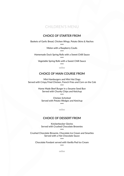### CHILDREN'S MENU

### **CHOICE OF STARTER FROM**

Baskets of Garlic Bread, Chicken Wings, Potato Skins & Nachos

#### Melon with a Raspberry Coulis

\*\*\* Homemade Duck Spring Rolls with a Sweet Chilli Sauce

\*\*\* Vegetable Spring Rolls with a Sweet Chilli Sauce

\*\*\*

oo0oo

#### **CHOICE OF MAIN COURSE FROM**

Mini Hamburgers and Mini Hot Dogs Served with Crispy Fried Chicken, French Fries and Corn on the Cob

\*\*\* Home Made Beef Burger in a Sesame Seed Bun Served with Chunky Chips and Ketchup

\*\*\* Chicken Schnitzel Served with Potato Wedges and Ketchup \*\*\*

oo0oo

### **CHOICE OF DESSERT FROM**

Knickerbocker Glories Served with Crushed Chocolate Brownies

\*\*\* Crushed Chocolate Brownie, Chocolate Ice Cream and Smarties Served with a Hot Chocolate Sauce

\*\*\* Chocolate Fondant served with Vanilla Pod Ice Cream

\*\*\*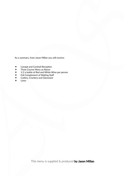As a summary, from Jason Millan you will receive:

- Canapé and Cocktail Reception
- **★** Three Course Menu as Above<br>★ 1/2 a bottle of Red and White
- 1/2 a bottle of Red and White Wine per person
- Full Complement of Waiting Staff
- \* Cutlery, Crockery and Glassware
- Linen